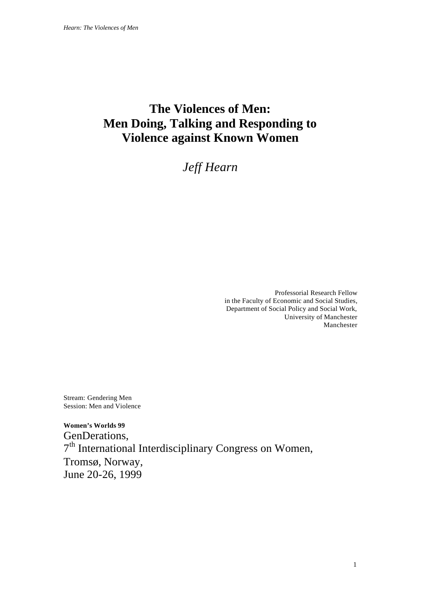# **The Violences of Men: Men Doing, Talking and Responding to Violence against Known Women**

# *Jeff Hearn*

Professorial Research Fellow in the Faculty of Economic and Social Studies, Department of Social Policy and Social Work, University of Manchester Manchester

Stream: Gendering Men Session: Men and Violence

**Women's Worlds 99** GenDerations, 7<sup>th</sup> International Interdisciplinary Congress on Women, Tromsø, Norway, June 20-26, 1999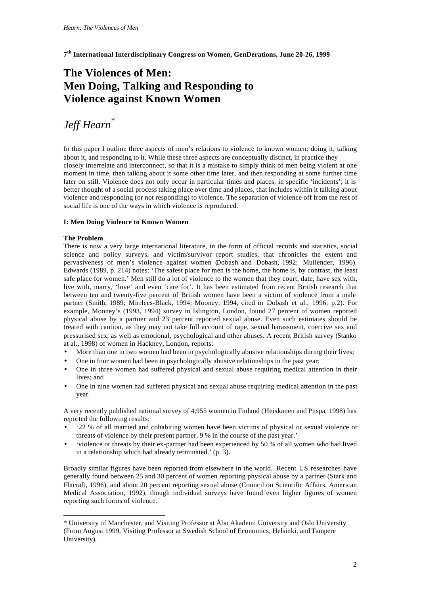**7 th International Interdisciplinary Congress on Women, GenDerations, June 20-26, 1999**

# **The Violences of Men: Men Doing, Talking and Responding to Violence against Known Women**

# *Jeff Hearn*\*

In this paper I outline three aspects of men's relations to violence to known women: doing it, talking about it, and responding to it. While these three aspects are conceptually distinct, in practice they closely interrelate and interconnect, so that it is a mistake to simply think of men being violent at one moment in time, then talking about it some other time later, and then responding at some further time later on still. Violence does not only occur in particular times and places, in specific 'incidents'; it is better thought of a social process taking place over time and places, that includes within it talking about violence and responding (or not responding) to violence. The separation of violence off from the rest of social life is one of the ways in which violence is reproduced.

# **I: Men Doing Violence to Known Women**

# **The Problem**

l

There is now a very large international literature, in the form of official records and statistics, social science and policy surveys, and victim/survivor report studies, that chronicles the extent and pervasiveness of men's violence against women (Dobash and Dobash, 1992; Mullender, 1996). Edwards (1989, p. 214) notes: 'The safest place for men is the home, the home is, by contrast, the least safe place for women.' Men still do a lot of violence to the women that they court, date, have sex with, live with, marry, 'love' and even 'care for'. It has been estimated from recent British research that between ten and twenty-five percent of British women have been a victim of violence from a male partner (Smith, 1989; Mirrlees-Black, 1994; Mooney, 1994, cited in Dobash et al., 1996, p.2). For example, Mooney's (1993, 1994) survey in Islington, London, found 27 percent of women reported physical abuse by a partner and 23 percent reported sexual abuse. Even such estimates should be treated with caution, as they may not take full account of rape, sexual harassment, coercive sex and pressurised sex, as well as emotional, psychological and other abuses. A recent British survey (Stanko at al., 1998) of women in Hackney, London, reports:

- More than one in two women had been in psychologically abusive relationships during their lives;
- One in four women had been in psychologically abusive relationships in the past year;
- One in three women had suffered physical and sexual abuse requiring medical attention in their lives; and
- One in nine women had suffered physical and sexual abuse requiring medical attention in the past year.

A very recently published national survey of 4,955 women in Finland (Heiskanen and Piispa, 1998) has reported the following results:

- '22 % of all married and cohabiting women have been victims of physical or sexual violence or threats of violence by their present partner, 9 % in the course of the past year.'
- 'violence or threats by their ex-partner had been experienced by 50 % of all women who had lived in a relationship which had already terminated.' (p. 3).

Broadly similar figures have been reported from elsewhere in the world. Recent US researches have generally found between 25 and 30 percent of women reporting physical abuse by a partner (Stark and Flitcraft, 1996), and about 20 percent reporting sexual abuse (Council on Scientific Affairs, American Medical Association, 1992), though individual surveys have found even higher figures of women reporting such forms of violence.

<sup>\*</sup> University of Manchester, and Visiting Professor at Åbo Akademi University and Oslo University (From August 1999, Visiting Professor at Swedish School of Economics, Helsinki, and Tampere University).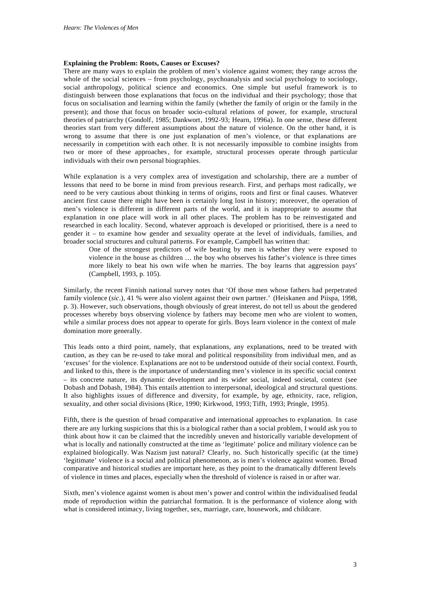### **Explaining the Problem: Roots, Causes or Excuses?**

There are many ways to explain the problem of men's violence against women; they range across the whole of the social sciences – from psychology, psychoanalysis and social psychology to sociology, social anthropology, political science and economics. One simple but useful framework is to distinguish between those explanations that focus on the individual and their psychology; those that focus on socialisation and learning within the family (whether the family of origin or the family in the present); and those that focus on broader socio-cultural relations of power, for example, structural theories of patriarchy (Gondolf, 1985; Dankwort, 1992-93; Hearn, 1996a). In one sense, these different theories start from very different assumptions about the nature of violence. On the other hand, it is wrong to assume that there is one just explanation of men's violence, or that explanations are necessarily in competition with each other. It is not necessarily impossible to combine insights from two or more of these approaches, for example, structural processes operate through particular individuals with their own personal biographies.

While explanation is a very complex area of investigation and scholarship, there are a number of lessons that need to be borne in mind from previous research. First, and perhaps most radically, we need to be very cautious about thinking in terms of origins, roots and first or final causes. Whatever ancient first cause there might have been is certainly long lost in history; moreover, the operation of men's violence is different in different parts of the world, and it is inappropriate to assume that explanation in one place will work in all other places. The problem has to be reinvestigated and researched in each locality. Second, whatever approach is developed or prioritised, there is a need to gender it – to examine how gender and sexuality operate at the level of individuals, families, and broader social structures and cultural patterns. For example, Campbell has written that:

One of the strongest predictors of wife beating by men is whether they were exposed to violence in the house as children … the boy who observes his father's violence is three times more likely to beat his own wife when he marries. The boy learns that aggression pays' (Campbell, 1993, p. 105).

Similarly, the recent Finnish national survey notes that 'Of those men whose fathers had perpetrated family violence (*sic*.), 41 % were also violent against their own partner.' (Heiskanen and Piispa, 1998, p. 3). However, such observations, though obviously of great interest, do not tell us about the gendered processes whereby boys observing violence by fathers may become men who are violent to women, while a similar process does not appear to operate for girls. Boys learn violence in the context of male domination more generally.

This leads onto a third point, namely, that explanations, any explanations, need to be treated with caution, as they can be re-used to take moral and political responsibility from individual men, and as 'excuses' for the violence. Explanations are not to be understood outside of their social context. Fourth, and linked to this, there is the importance of understanding men's violence in its specific social context – its concrete nature, its dynamic development and its wider social, indeed societal, context (see Dobash and Dobash, 1984). This entails attention to interpersonal, ideological and structural questions. It also highlights issues of difference and diversity, for example, by age, ethnicity, race, religion, sexuality, and other social divisions (Rice, 1990; Kirkwood, 1993; Tifft, 1993; Pringle, 1995).

Fifth, there is the question of broad comparative and international approaches to explanation. In case there are any lurking suspicions that this is a biological rather than a social problem, I would ask you to think about how it can be claimed that the incredibly uneven and historically variable development of what is locally and nationally constructed at the time as 'legitimate' police and military violence can be explained biologically. Was Nazism just natural? Clearly, no. Such historically specific (at the time) 'legitimate' violence is a social and political phenomenon, as is men's violence against women. Broad comparative and historical studies are important here, as they point to the dramatically different levels of violence in times and places, especially when the threshold of violence is raised in or after war.

Sixth, men's violence against women is about men's power and control within the individualised feudal mode of reproduction within the patriarchal formation. It is the performance of violence along with what is considered intimacy, living together, sex, marriage, care, housework, and childcare.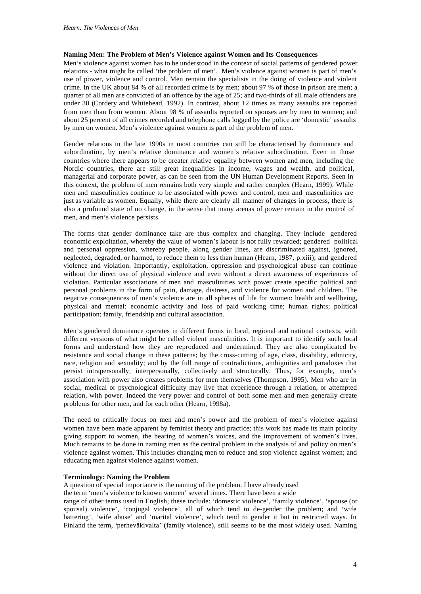#### **Naming Men: The Problem of Men's Violence against Women and Its Consequences**

Men's violence against women has to be understood in the context of social patterns of gendered power relations - what might be called 'the problem of men'. Men's violence against women is part of men's use of power, violence and control. Men remain the specialists in the doing of violence and violent crime. In the UK about 84 % of all recorded crime is by men; about 97 % of those in prison are men; a quarter of all men are convicted of an offence by the age of 25; and two-thirds of all male offenders are under 30 (Cordery and Whitehead, 1992). In contrast, about 12 times as many assaults are reported from men than from women. About 98 % of assaults reported on spouses are by men to women; and about 25 percent of all crimes recorded and telephone calls logged by the police are 'domestic' assaults by men on women. Men's violence against women is part of the problem of men.

Gender relations in the late 1990s in most countries can still be characterised by dominance and subordination, by men's relative dominance and women's relative subordination. Even in those countries where there appears to be qreater relative equality between women and men, including the Nordic countries, there are still great inequalities in income, wages and wealth, and political, managerial and corporate power, as can be seen from the UN Human Development Reports. Seen in this context, the problem of men remains both very simple and rather complex (Hearn, 1999). While men and masculinities continue to be associated with power and control, men and masculinities are just as variable as women. Equally, while there are clearly all manner of changes in process, there is also a profound state of no change, in the sense that many arenas of power remain in the control of men, and men's violence persists.

The forms that gender dominance take are thus complex and changing. They include gendered economic exploitation, whereby the value of women's labour is not fully rewarded; gendered political and personal oppression, whereby people, along gender lines, are discriminated against, ignored, neglected, degraded, or harmed, to reduce them to less than human (Hearn, 1987, p.xiii); and gendered violence and violation. Importantly, exploitation, oppression and psychological abuse can continue without the direct use of physical violence and even without a direct awareness of experiences of violation. Particular associations of men and masculinities with power create specific political and personal problems in the form of pain, damage, distress, and violence for women and children. The negative consequences of men's violence are in all spheres of life for women: health and wellbeing, physical and mental; economic activity and loss of paid working time; human rights; political participation; family, friendship and cultural association.

Men's gendered dominance operates in different forms in local, regional and national contexts, with different versions of what might be called violent masculinities. It is important to identify such local forms and understand how they are reproduced and undermined. They are also complicated by resistance and social change in these patterns; by the cross-cutting of age, class, disability, ethnicity, race, religion and sexuality; and by the full range of contradictions, ambiguities and paradoxes that persist intrapersonally, interpersonally, collectively and structurally. Thus, for example, men's association with power also creates problems for men themselves (Thompson, 1995). Men who are in social, medical or psychological difficulty may live that experience through a relation, or attempted relation, with power. Indeed the very power and control of both some men and men generally create problems for other men, and for each other (Hearn, 1998a).

The need to critically focus on men and men's power and the problem of men's violence against women have been made apparent by feminist theory and practice; this work has made its main priority giving support to women, the hearing of women's voices, and the improvement of women's lives. Much remains to be done in naming men as the central problem in the analysis of and policy on men's violence against women. This includes changing men to reduce and stop violence against women; and educating men against violence against women.

#### **Terminology: Naming the Problem**

A question of special importance is the naming of the problem. I have already used

the term 'men's violence to known women' several times. There have been a wide

range of other terms used in English; these include: 'domestic violence', 'family violence', 'spouse (or spousal) violence', 'conjugal violence', all of which tend to de-gender the problem; and 'wife battering', 'wife abuse' and 'marital violence', which tend to gender it but in restricted ways. In Finland the term, 'perheväkivalta' (family violence), still seems to be the most widely used. Naming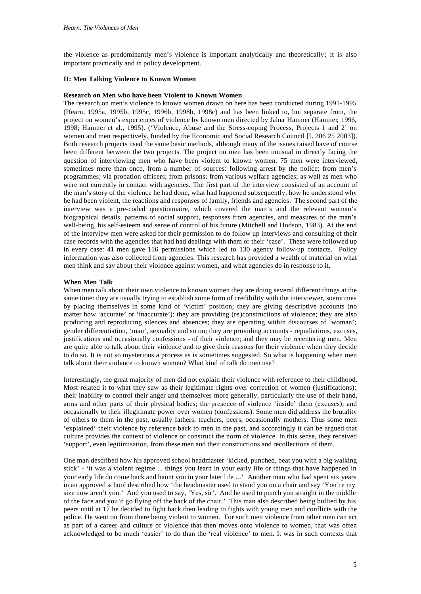the violence as predominantly men's violence is important analytically and theoretically; it is also important practically and in policy development.

## **II: Men Talking Violence to Known Women**

#### **Research on Men who have been Violent to Known Women**

The research on men's violence to known women drawn on here has been conducted during 1991-1995 (Hearn, 1995a, 1995b, 1995c, 1996b, 1998b, 1998c) and has been linked to, but separate from, the project on women's experiences of violence by known men directed by Jalna Hanmer (Hanmer, 1996, 1998; Hanmer et al., 1995). ('Violence, Abuse and the Stress-coping Process, Projects 1 and 2' on women and men respectively, funded by the Economic and Social Research Council [L 206 25 2003]). Both research projects used the same basic methods, although many of the issues raised have of course been different between the two projects. The project on men has been unusual in directly facing the question of interviewing men who have been violent to known women. 75 men were interviewed, sometimes more than once, from a number of sources: following arrest by the police; from men's programmes; via probation officers; from prisons; from various welfare agencies; as well as men who were not currently in contact with agencies. The first part of the interview consisted of an account of the man's story of the violence he had done, what had happened subsequently, how he understood why he had been violent, the reactions and responses of family, friends and agencies. The second part of the interview was a pre-coded questionnaire, which covered the man's and the relevant woman's biographical details, patterns of social support, responses from agencies, and measures of the man's well-being, his self-esteem and sense of control of his future (Mitchell and Hodson, 1983). At the end of the interview men were asked for their permission to do follow up interviews and consulting of their case records with the agencies that had had dealings with them or their 'case'. These were followed up in every case: 41 men gave 116 permissions which led to 130 agency follow-up contacts. Policy information was also collected from agencies. This research has provided a wealth of material on what men think and say about their violence against women, and what agencies do in response to it.

### **When Men Talk**

When men talk about their own violence to known women they are doing several different things at the same time: they are usually trying to establish some form of credibility with the interviewer, soemtimes by placing themselves in some kind of 'victim' position; they are giving descriptive accounts (no matter how 'accurate' or 'inaccurate'); they are providing (re)constructions of violence; they are also producing and reproducing silences and absences; they are operating within discourses of 'woman'; gender differentiation, 'man', sexuality and so on; they are providing accounts - repudiations, excuses, justifications and occasionally confessions - of their violence; and they may be recentering men. Men are quite able to talk about their violence and to give their reasons for their violence when they decide to do so. It is not so mysterious a process as is sometimes suggested. So what is happening when men talk about their violence to known women? What kind of talk do men use?

Interestingly, the great majority of men did not explain their violence with reference to their childhood. Most related it to what they saw as their legitimate rights over correction of women (justifications); their inability to control their anger and themselves more generally, particularly the use of their hand, arms and other parts of their physical bodies; the presence of violence 'inside' them (excuses); and occasionally to their illegitimate power over women (confessions). Some men did address the brutality of others to them in the past, usually fathers, teachers, peers, occasionally mothers. Thus some men 'explained' their violence by reference back to men in the past, and accordingly it can be argued that culture provides the context of violence or construct the norm of violence. In this sense, they received 'support', even legitimisation, from these men and their constructions and recollections of them.

One man described how his approved school headmaster 'kicked, punched, beat you with a big walking stick' - 'it was a violent regime ... things you learn in your early life or things that have happened in your early life do come back and haunt you in your later life ...' Another man who had spent six years in an approved school described how 'the headmaster used to stand you on a chair and say 'You're my size now aren't you.' And you used to say, 'Yes, sir'. And he used to punch you straight in the middle of the face and you'd go flying off the back of the chair.' This man also described being bullied by his peers until at 17 he decided to fight back then leading to fights with young men and conflicts with the police. He went on from there being violent to women. For such men violence from other men can act as part of a career and culture of violence that then moves onto violence to women, that was often acknowledged to be much 'easier' to do than the 'real violence' to men. It was in such contexts that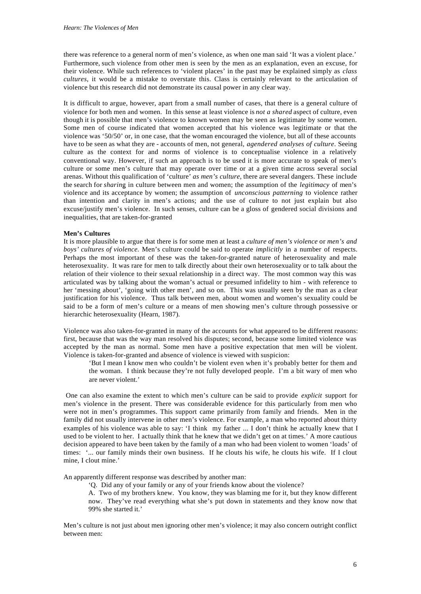there was reference to a general norm of men's violence, as when one man said 'It was a violent place.' Furthermore, such violence from other men is seen by the men as an explanation, even an excuse, for their violence. While such references to 'violent places' in the past may be explained simply as *class cultures*, it would be a mistake to overstate this. Class is certainly relevant to the articulation of violence but this research did not demonstrate its causal power in any clear way.

It is difficult to argue, however, apart from a small number of cases, that there is a general culture of violence for both men and women. In this sense at least violence is *not a shared* aspect of culture, even though it is possible that men's violence to known women may be seen as legitimate by some women. Some men of course indicated that women accepted that his violence was legitimate or that the violence was '50/50' or, in one case, that the woman encouraged the violence, but all of these accounts have to be seen as what they are - accounts of men, not general, *agendered analyses of culture*. Seeing culture as the context for and norms of violence is to conceptualise violence in a relatively conventional way. However, if such an approach is to be used it is more accurate to speak of men's culture or some men's culture that may operate over time or at a given time across several social arenas. Without this qualification of 'culture' *as men's culture*, there are several dangers. These include the search for *sharin*g in culture between men and women; the assumption of the *legitimacy* of men's violence and its acceptance by women; the assumption of *unconscious patterning* to violence rather than intention and clarity in men's actions; and the use of culture to not just explain but also excuse/justify men's violence. In such senses, culture can be a gloss of gendered social divisions and inequalities, that are taken-for-granted

#### **Men's Cultures**

It is more plausible to argue that there is for some men at least a *culture of men's violence* or *men's and boys' cultures of violence.* Men's culture could be said to operate *implicitly* in a number of respects. Perhaps the most important of these was the taken-for-granted nature of heterosexuality and male heterosexuality. It was rare for men to talk directly about their own heterosexuality or to talk about the relation of their violence to their sexual relationship in a direct way. The most common way this was articulated was by talking about the woman's actual or presumed infidelity to him - with reference to her 'messing about', 'going with other men', and so on. This was usually seen by the man as a clear justification for his violence. Thus talk between men, about women and women's sexuality could be said to be a form of men's culture or a means of men showing men's culture through possessive or hierarchic heterosexuality (Hearn, 1987).

Violence was also taken-for-granted in many of the accounts for what appeared to be different reasons: first, because that was the way man resolved his disputes; second, because some limited violence was accepted by the man as normal. Some men have a positive expectation that men will be violent. Violence is taken-for-granted and absence of violence is viewed with suspicion:

'But I mean I know men who couldn't be violent even when it's probably better for them and the woman. I think because they're not fully developed people. I'm a bit wary of men who are never violent.'

 One can also examine the extent to which men's culture can be said to provide *explicit* support for men's violence in the present. There was considerable evidence for this particularly from men who were not in men's programmes. This support came primarily from family and friends. Men in the family did not usually intervene in other men's violence. For example, a man who reported about thirty examples of his violence was able to say: 'I think my father ... I don't think he actually knew that I used to be violent to her. I actually think that he knew that we didn't get on at times.' A more cautious decision appeared to have been taken by the family of a man who had been violent to women 'loads' of times: '... our family minds their own business. If he clouts his wife, he clouts his wife. If I clout mine, I clout mine.'

An apparently different response was described by another man:

'Q. Did any of your family or any of your friends know about the violence?

A. Two of my brothers knew. You know, they was blaming me for it, but they know different now. They've read everything what she's put down in statements and they know now that 99% she started it.'

Men's culture is not just about men ignoring other men's violence; it may also concern outright conflict between men: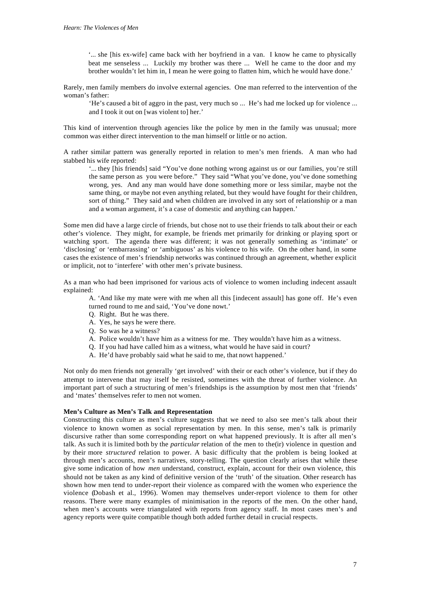'... she [his ex-wife] came back with her boyfriend in a van. I know he came to physically beat me senseless ... Luckily my brother was there ... Well he came to the door and my brother wouldn't let him in, I mean he were going to flatten him, which he would have done.'

Rarely, men family members do involve external agencies. One man referred to the intervention of the woman's father:

'He's caused a bit of aggro in the past, very much so ... He's had me locked up for violence ... and I took it out on [was violent to] her.'

This kind of intervention through agencies like the police by men in the family was unusual; more common was either direct intervention to the man himself or little or no action.

A rather similar pattern was generally reported in relation to men's men friends. A man who had stabbed his wife reported:

'... they [his friends] said "You've done nothing wrong against us or our families, you're still the same person as you were before." They said "What you've done, you've done something wrong, yes. And any man would have done something more or less similar, maybe not the same thing, or maybe not even anything related, but they would have fought for their children, sort of thing." They said and when children are involved in any sort of relationship or a man and a woman argument, it's a case of domestic and anything can happen.'

Some men did have a large circle of friends, but chose not to use their friends to talk about their or each other's violence. They might, for example, be friends met primarily for drinking or playing sport or watching sport. The agenda there was different; it was not generally something as 'intimate' or 'disclosing' or 'embarrassing' or 'ambiguous' as his violence to his wife. On the other hand, in some cases the existence of men's friendship networks was continued through an agreement, whether explicit or implicit, not to 'interfere' with other men's private business.

As a man who had been imprisoned for various acts of violence to women including indecent assault explained:

A. 'And like my mate were with me when all this [indecent assault] has gone off. He's even turned round to me and said, 'You've done nowt.'

- Q. Right. But he was there.
- A. Yes, he says he were there.
- Q. So was he a witness?
- A. Police wouldn't have him as a witness for me. They wouldn't have him as a witness.
- Q. If you had have called him as a witness, what would he have said in court?
- A. He'd have probably said what he said to me, that nowt happened.'

Not only do men friends not generally 'get involved' with their or each other's violence, but if they do attempt to intervene that may itself be resisted, sometimes with the threat of further violence. An important part of such a structuring of men's friendships is the assumption by most men that 'friends' and 'mates' themselves refer to men not women.

#### **Men's Culture as Men's Talk and Representation**

Constructing this culture as men's culture suggests that we need to also see men's talk about their violence to known women as social representation by men. In this sense, men's talk is primarily discursive rather than some corresponding report on what happened previously. It is after all men's talk. As such it is limited both by the *particular* relation of the men to the(ir) violence in question and by their more *structured* relation to power. A basic difficulty that the problem is being looked at through men's accounts, men's narratives, story-telling. The question clearly arises that while these give some indication of how *men* understand, construct, explain, account for their own violence, this should not be taken as any kind of definitive version of the 'truth' of the situation. Other research has shown how men tend to under-report their violence as compared with the women who experience the violence (Dobash et al., 1996). Women may themselves under-report violence to them for other reasons. There were many examples of minimisation in the reports of the men. On the other hand, when men's accounts were triangulated with reports from agency staff. In most cases men's and agency reports were quite compatible though both added further detail in crucial respects.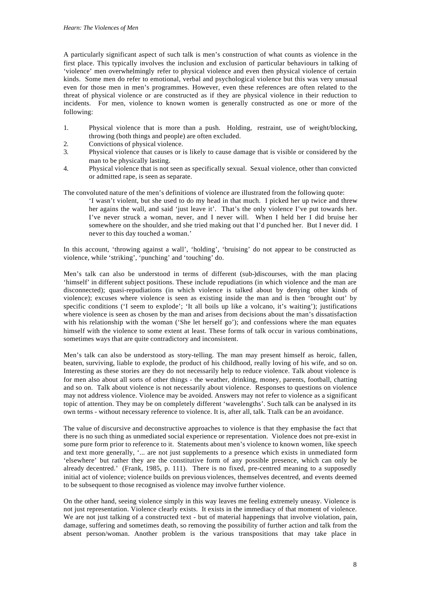A particularly significant aspect of such talk is men's construction of what counts as violence in the first place. This typically involves the inclusion and exclusion of particular behaviours in talking of 'violence' men overwhelmingly refer to physical violence and even then physical violence of certain kinds. Some men do refer to emotional, verbal and psychological violence but this was very unusual even for those men in men's programmes. However, even these references are often related to the threat of physical violence or are constructed as if they are physical violence in their reduction to incidents. For men, violence to known women is generally constructed as one or more of the following:

- 1. Physical violence that is more than a push. Holding, restraint, use of weight/blocking, throwing (both things and people) are often excluded.
- 2. Convictions of physical violence.
- 3. Physical violence that causes or is likely to cause damage that is visible or considered by the man to be physically lasting.
- 4. Physical violence that is not seen as specifically sexual. Sexual violence, other than convicted or admitted rape, is seen as separate.

The convoluted nature of the men's definitions of violence are illustrated from the following quote:

'I wasn't violent, but she used to do my head in that much. I picked her up twice and threw her agains the wall, and said 'just leave it'. That's the only violence I've put towards her. I've never struck a woman, never, and I never will. When I held her I did bruise her somewhere on the shoulder, and she tried making out that I'd punched her. But I never did. I never to this day touched a woman.'

In this account, 'throwing against a wall', 'holding', 'bruising' do not appear to be constructed as violence, while 'striking', 'punching' and 'touching' do.

Men's talk can also be understood in terms of different (sub-)discourses, with the man placing 'himself' in different subject positions. These include repudiations (in which violence and the man are disconnected); quasi-repudiations (in which violence is talked about by denying other kinds of violence); excuses where violence is seen as existing inside the man and is then 'brought out' by specific conditions ('I seem to explode'; 'It all boils up like a volcano, it's waiting'); justifications where violence is seen as chosen by the man and arises from decisions about the man's dissatisfaction with his relationship with the woman ('She let herself go'); and confessions where the man equates himself with the violence to some extent at least. These forms of talk occur in various combinations, sometimes ways that are quite contradictory and inconsistent.

Men's talk can also be understood as story-telling. The man may present himself as heroic, fallen, beaten, surviving, liable to explode, the product of his childhood, really loving of his wife, and so on. Interesting as these stories are they do not necessarily help to reduce violence. Talk about violence is for men also about all sorts of other things - the weather, drinking, money, parents, football, chatting and so on. Talk about violence is not necessarily about violence. Responses to questions on violence may not address violence. Violence may be avoided. Answers may not refer to violence as a significant topic of attention. They may be on completely different 'wavelengths'. Such talk can be analysed in its own terms - without necessary reference to violence. It is, after all, talk. Ttalk can be an avoidance.

The value of discursive and deconstructive approaches to violence is that they emphasise the fact that there is no such thing as unmediated social experience or representation. Violence does not pre-exist in some pure form prior to reference to it. Statements about men's violence to known women, like speech and text more generally, '... are not just supplements to a presence which exists in unmediated form 'elsewhere' but rather they are the constitutive form of any possible presence, which can only be already decentred.' (Frank, 1985, p. 111). There is no fixed, pre-centred meaning to a supposedly initial act of violence; violence builds on previous violences, themselves decentred, and events deemed to be subsequent to those recognised as violence may involve further violence.

On the other hand, seeing violence simply in this way leaves me feeling extremely uneasy. Violence is not just representation. Violence clearly exists. It exists in the immediacy of that moment of violence. We are not just talking of a constructed text - but of material happenings that involve violation, pain, damage, suffering and sometimes death, so removing the possibility of further action and talk from the absent person/woman. Another problem is the various transpositions that may take place in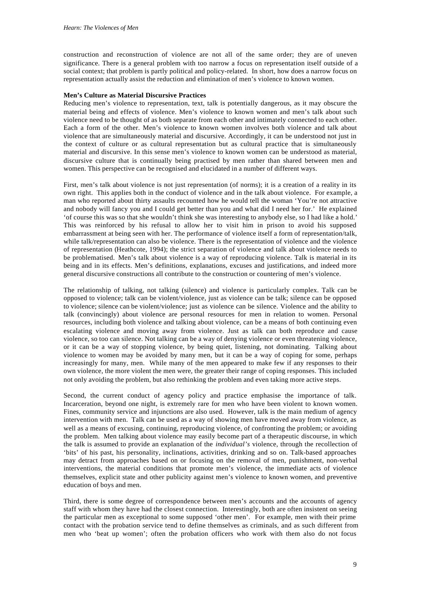construction and reconstruction of violence are not all of the same order; they are of uneven significance. There is a general problem with too narrow a focus on representation itself outside of a social context; that problem is partly political and policy-related. In short, how does a narrow focus on representation actually assist the reduction and elimination of men's violence to known women.

#### **Men's Culture as Material Discursive Practices**

Reducing men's violence to representation, text, talk is potentially dangerous, as it may obscure the material being and effects of violence. Men's violence to known women and men's talk about such violence need to be thought of as both separate from each other and intimately connected to each other. Each a form of the other. Men's violence to known women involves both violence and talk about violence that are simultaneously material and discursive. Accordingly, it can be understood not just in the context of culture or as cultural representation but as cultural practice that is simultaneously material and discursive. In this sense men's violence to known women can be understood as material, discursive culture that is continually being practised by men rather than shared between men and women. This perspective can be recognised and elucidated in a number of different ways.

First, men's talk about violence is not just representation (of norms); it is a creation of a reality in its own right. This applies both in the conduct of violence and in the talk about violence. For example, a man who reported about thirty assaults recounted how he would tell the woman 'You're not attractive and nobody will fancy you and I could get better than you and what did I need her for.' He explained 'of course this was so that she wouldn't think she was interesting to anybody else, so I had like a hold.' This was reinforced by his refusal to allow her to visit him in prison to avoid his supposed embarrassment at being seen with her. The performance of violence itself a form of representation/talk, while talk/representation can also be violence. There is the representation of violence and the violence of representation (Heathcote, 1994); the strict separation of violence and talk about violence needs to be problematised. Men's talk about violence is a way of reproducing violence. Talk is material in its being and in its effects. Men's definitions, explanations, excuses and justifications, and indeed more general discursive constructions all contribute to the construction or countering of men's violence.

The relationship of talking, not talking (silence) and violence is particularly complex. Talk can be opposed to violence; talk can be violent/violence, just as violence can be talk; silence can be opposed to violence; silence can be violent/violence; just as violence can be silence. Violence and the ability to talk (convincingly) about violence are personal resources for men in relation to women. Personal resources, including both violence and talking about violence, can be a means of both continuing even escalating violence and moving away from violence. Just as talk can both reproduce and cause violence, so too can silence. Not talking can be a way of denying violence or even threatening violence, or it can be a way of stopping violence, by being quiet, listening, not dominating. Talking about violence to women may be avoided by many men, but it can be a way of coping for some, perhaps increasingly for many, men. While many of the men appeared to make few if any responses to their own violence, the more violent the men were, the greater their range of coping responses. This included not only avoiding the problem, but also rethinking the problem and even taking more active steps.

Second, the current conduct of agency policy and practice emphasise the importance of talk. Incarceration, beyond one night, is extremely rare for men who have been violent to known women. Fines, community service and injunctions are also used. However, talk is the main medium of agency intervention with men. Talk can be used as a way of showing men have moved away from violence, as well as a means of excusing, continuing, reproducing violence, of confronting the problem; or avoiding the problem. Men talking about violence may easily become part of a therapeutic discourse, in which the talk is assumed to provide an explanation of the *individual's* violence, through the recollection of 'bits' of his past, his personality, inclinations, activities, drinking and so on. Talk-based approaches may detract from approaches based on or focusing on the removal of men, punishment, non-verbal interventions, the material conditions that promote men's violence, the immediate acts of violence themselves, explicit state and other publicity against men's violence to known women, and preventive education of boys and men.

Third, there is some degree of correspondence between men's accounts and the accounts of agency staff with whom they have had the closest connection. Interestingly, both are often insistent on seeing the particular men as exceptional to some supposed 'other men'. For example, men with their prime contact with the probation service tend to define themselves as criminals, and as such different from men who 'beat up women'; often the probation officers who work with them also do not focus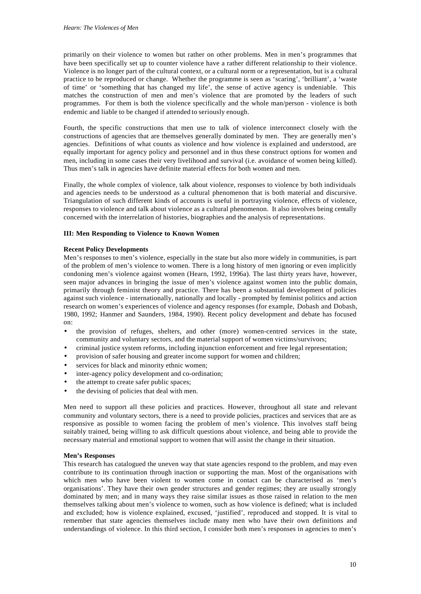primarily on their violence to women but rather on other problems. Men in men's programmes that have been specifically set up to counter violence have a rather different relationship to their violence. Violence is no longer part of the cultural context, or a cultural norm or a representation, but is a cultural practice to be reproduced or change. Whether the programme is seen as 'scaring', 'brilliant', a 'waste of time' or 'something that has changed my life', the sense of active agency is undeniable. This matches the construction of men and men's violence that are promoted by the leaders of such programmes. For them is both the violence specifically and the whole man/person - violence is both endemic and liable to be changed if attended to seriously enough.

Fourth, the specific constructions that men use to talk of violence interconnect closely with the constructions of agencies that are themselves generally dominated by men. They are generally men's agencies. Definitions of what counts as violence and how violence is explained and understood, are equally important for agency policy and personnel and in thus these construct options for women and men, including in some cases their very livelihood and survival (i.e. avoidance of women being killed). Thus men's talk in agencies have definite material effects for both women and men.

Finally, the whole complex of violence, talk about violence, responses to violence by both individuals and agencies needs to be understood as a cultural phenomenon that is both material and discursive. Triangulation of such different kinds of accounts is useful in portraying violence, effects of violence, responses to violence and talk about violence as a cultural phenomenon. It also involves being centally concerned with the interrelation of histories, biographies and the analysis of representations.

#### **III: Men Responding to Violence to Known Women**

#### **Recent Policy Developments**

Men's responses to men's violence, especially in the state but also more widely in communities, is part of the problem of men's violence to women. There is a long history of men ignoring or even implicitly condoning men's violence against women (Hearn, 1992, 1996a). The last thirty years have, however, seen major advances in bringing the issue of men's violence against women into the public domain, primarily through feminist theory and practice. There has been a substantial development of policies against such violence - internationally, nationally and locally - prompted by feminist politics and action research on women's experiences of violence and agency responses (for example, Dobash and Dobash, 1980, 1992; Hanmer and Saunders, 1984, 1990). Recent policy development and debate has focused on:

- the provision of refuges, shelters, and other (more) women-centred services in the state, community and voluntary sectors, and the material support of women victims/survivors;
- criminal justice system reforms, including injunction enforcement and free legal representation;
- provision of safer housing and greater income support for women and children;
- services for black and minority ethnic women;
- inter-agency policy development and co-ordination;
- the attempt to create safer public spaces;
- the devising of policies that deal with men.

Men need to support all these policies and practices. However, throughout all state and relevant community and voluntary sectors, there is a need to provide policies, practices and services that are as responsive as possible to women facing the problem of men's violence. This involves staff being suitably trained, being willing to ask difficult questions about violence, and being able to provide the necessary material and emotional support to women that will assist the change in their situation.

#### **Men's Responses**

This research has catalogued the uneven way that state agencies respond to the problem, and may even contribute to its continuation through inaction or supporting the man. Most of the organisations with which men who have been violent to women come in contact can be characterised as 'men's organisations'. They have their own gender structures and gender regimes; they are usually strongly dominated by men; and in many ways they raise similar issues as those raised in relation to the men themselves talking about men's violence to women, such as how violence is defined; what is included and excluded; how is violence explained, excused, 'justified', reproduced and stopped. It is vital to remember that state agencies themselves include many men who have their own definitions and understandings of violence. In this third section, I consider both men's responses in agencies to men's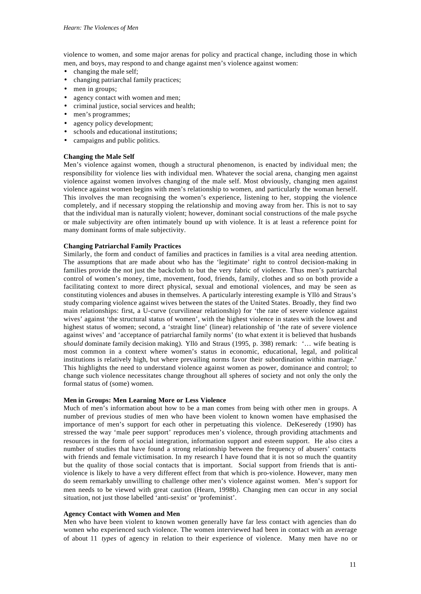violence to women, and some major arenas for policy and practical change, including those in which men, and boys, may respond to and change against men's violence against women:

- changing the male self;
- changing patriarchal family practices;
- men in groups;
- agency contact with women and men;
- criminal justice, social services and health;
- men's programmes;
- agency policy development;
- schools and educational institutions;
- campaigns and public politics.

#### **Changing the Male Self**

Men's violence against women, though a structural phenomenon, is enacted by individual men; the responsibility for violence lies with individual men. Whatever the social arena, changing men against violence against women involves changing of the male self. Most obviously, changing men against violence against women begins with men's relationship to women, and particularly the woman herself. This involves the man recognising the women's experience, listening to her, stopping the violence completely, and if necessary stopping the relationship and moving away from her. This is not to say that the individual man is naturally violent; however, dominant social constructions of the male psyche or male subjectivity are often intimately bound up with violence. It is at least a reference point for many dominant forms of male subjectivity.

#### **Changing Patriarchal Family Practices**

Similarly, the form and conduct of families and practices in families is a vital area needing attention. The assumptions that are made about who has the 'legitimate' right to control decision-making in families provide the not just the backcloth to but the very fabric of violence. Thus men's patriarchal control of women's money, time, movement, food, friends, family, clothes and so on both provide a facilitating context to more direct physical, sexual and emotional violences, and may be seen as constituting violences and abuses in themselves. A particularly interesting example is Yllö and Straus's study comparing violence against wives between the states of the United States. Broadly, they find two main relationships: first, a U-curve (curvilinear relationship) for 'the rate of severe violence against wives' against 'the structural status of women', with the highest violence in states with the lowest and highest status of women; second, a 'straight line' (linear) relationship of 'the rate of severe violence against wives' and 'acceptance of patriarchal family norms' (to what extent it is believed that husbands *should* dominate family decision making). Yllö and Straus (1995, p. 398) remark: '… wife beating is most common in a context where women's status in economic, educational, legal, and political institutions is relatively high, but where prevailing norms favor their subordination within marriage.' This highlights the need to understand violence against women as power, dominance and control; to change such violence necessitates change throughout all spheres of society and not only the only the formal status of (some) women.

#### **Men in Groups: Men Learning More or Less Violence**

Much of men's information about how to be a man comes from being with other men in groups. A number of previous studies of men who have been violent to known women have emphasised the importance of men's support for each other in perpetuating this violence. DeKeseredy (1990) has stressed the way 'male peer support' reproduces men's violence, through providing attachments and resources in the form of social integration, information support and esteem support. He also cites a number of studies that have found a strong relationship between the frequency of abusers' contacts with friends and female victimisation. In my research I have found that it is not so much the quantity but the quality of those social contacts that is important. Social support from friends that is antiviolence is likely to have a very different effect from that which is pro-violence. However, many men do seem remarkably unwilling to challenge other men's violence against women. Men's support for men needs to be viewed with great caution (Hearn, 1998b). Changing men can occur in any social situation, not just those labelled 'anti-sexist' or 'profeminist'.

#### **Agency Contact with Women and Men**

Men who have been violent to known women generally have far less contact with agencies than do women who experienced such violence. The women interviewed had been in contact with an average of about 11 *types* of agency in relation to their experience of violence. Many men have no or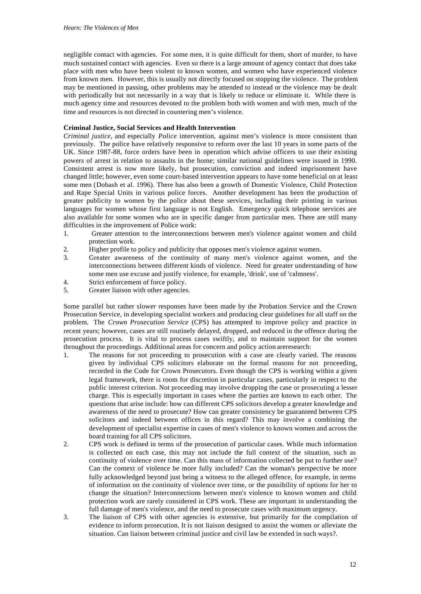negligible contact with agencies. For some men, it is quite difficult for them, short of murder, to have much sustained contact with agencies. Even so there is a large amount of agency contact that does take place with men who have been violent to known women, and women who have experienced violence from known men. However, this is usually not directly focused on stopping the violence. The problem may be mentioned in passing, other problems may be attended to instead or the violence may be dealt with periodically but not necessarily in a way that is likely to reduce or eliminate it. While there is much agency time and resources devoted to the problem both with women and with men, much of the time and resources is not directed in countering men's violence.

## **Criminal Justice, Social Services and Health Intervention**

*Criminal justice*, and especially *Police* intervention, against men's violence is more consistent than previously. The police have relatively responsive to reform over the last 10 years in some parts of the UK. Since 1987-88, force orders have been in operation which advise officers to use their existing powers of arrest in relation to assaults in the home; similar national guidelines were issued in 1990. Consistent arrest is now more likely, but prosecution, conviction and indeed imprisonment have changed little; however, even some court-based intervention appears to have some beneficial on at least some men (Dobash et al. 1996). There has also been a growth of Domestic Violence, Child Protection and Rape Special Units in various police forces. Another development has been the production of greater publicity to women by the police about these services, including their printing in various languages for women whose first language is not English. Emergency quick telephone services are also available for some women who are in specific danger from particular men. There are still many difficulties in the improvement of Police work:

- 1. Greater attention to the interconnections between men's violence against women and child protection work.
- 2. Higher profile to policy and publicity that opposes men's violence against women.
- 3. Greater awareness of the continuity of many men's violence against women, and the interconnections between different kinds of violence. Need for greater understanding of how some men use excuse and justify violence, for example, 'drink', use of 'calmness'.
- 4. Strict enforcement of force policy.
- 5. Greater liaison with other agencies.

Some parallel but rather slower responses have been made by the Probation Service and the Crown Prosecution Service, in developing specialist workers and producing clear guidelines for all staff on the problem. The *Crown Prosecution Service* (CPS) has attempted to improve policy and practice in recent years; however, cases are still routinely delayed, dropped, and reduced in the offence during the prosecution process. It is vital to process cases swiftly, and to maintain support for the women throughout the proceedings. Additional areas for concern and policy action areresearch:

- 1. The reasons for not proceeding to prosecution with a case are clearly varied. The reasons given by individual CPS solicitors elaborate on the formal reasons for not proceeding, recorded in the Code for Crown Prosecutors. Even though the CPS is working within a given legal framework, there is room for discretion in particular cases, particularly in respect to the public interest criterion. Not proceeding may involve dropping the case or prosecuting a lesser charge. This is especially important in cases where the parties are known to each other. The questions that arise include: how can different CPS solicitors develop a greater knowledge and awareness of the need to prosecute? How can greater consistency be guaranteed between CPS solicitors and indeed between offices in this regard? This may involve a combining the development of specialist expertise in cases of men's violence to known women and across the board training for all CPS solicitors.
- 2. CPS work is defined in terms of the prosecution of particular cases. While much information is collected on each case, this may not include the full context of the situation, such as continuity of violence over time. Can this mass of information collected be put to further use? Can the context of violence be more fully included? Can the woman's perspective be more fully acknowledged beyond just being a witness to the alleged offence, for example, in terms of information on the continuity of violence over time, or the possibility of options for her to change the situation? Interconnections between men's violence to known women and child protection work are rarely considered in CPS work. These are important in understanding the full damage of men's violence, and the need to prosecute cases with maximum urgency.
- 3. The liaison of CPS with other agencies is extensive, but primarily for the compilation of evidence to inform prosecution. It is not liaison designed to assist the women or alleviate the situation. Can liaison between criminal justice and civil law be extended in such ways?.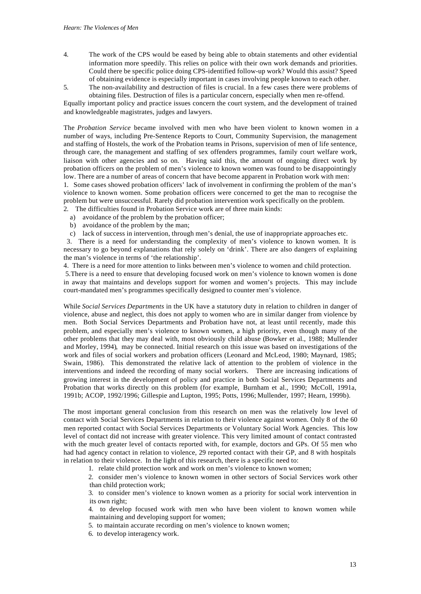- 4. The work of the CPS would be eased by being able to obtain statements and other evidential information more speedily. This relies on police with their own work demands and priorities. Could there be specific police doing CPS-identified follow-up work? Would this assist? Speed of obtaining evidence is especially important in cases involving people known to each other.
- 5. The non-availability and destruction of files is crucial. In a few cases there were problems of obtaining files. Destruction of files is a particular concern, especially when men re-offend.

Equally important policy and practice issues concern the court system, and the development of trained and knowledgeable magistrates, judges and lawyers.

The *Probation Service* became involved with men who have been violent to known women in a number of ways, including Pre-Sentence Reports to Court, Community Supervision, the management and staffing of Hostels, the work of the Probation teams in Prisons, supervision of men of life sentence, through care, the management and staffing of sex offenders programmes, family court welfare work, liaison with other agencies and so on. Having said this, the amount of ongoing direct work by probation officers on the problem of men's violence to known women was found to be disappointingly low. There are a number of areas of concern that have become apparent in Probation work with men:

1. Some cases showed probation officers' lack of involvement in confirming the problem of the man's violence to known women. Some probation officers were concerned to get the man to recognise the problem but were unsuccessful. Rarely did probation intervention work specifically on the problem.

- 2. The difficulties found in Probation Service work are of three main kinds:
	- a) avoidance of the problem by the probation officer;
	- b) avoidance of the problem by the man;

c) lack of success in intervention, through men's denial, the use of inappropriate approaches etc.

 3. There is a need for understanding the complexity of men's violence to known women. It is necessary to go beyond explanations that rely solely on 'drink'. There are also dangers of explaining the man's violence in terms of 'the relationship'.

4. There is a need for more attention to links between men's violence to women and child protection.

 5.There is a need to ensure that developing focused work on men's violence to known women is done in away that maintains and develops support for women and women's projects. This may include court-mandated men's programmes specifically designed to counter men's violence.

While *Social Services Departments* in the UK have a statutory duty in relation to children in danger of violence, abuse and neglect, this does not apply to women who are in similar danger from violence by men. Both Social Services Departments and Probation have not, at least until recently, made this problem, and especially men's violence to known women, a high priority, even though many of the other problems that they may deal with, most obviously child abuse (Bowker et al., 1988; Mullender and Morley, 1994), may be connected. Initial research on this issue was based on investigations of the work and files of social workers and probation officers (Leonard and McLeod, 1980; Maynard, 1985; Swain, 1986). This demonstrated the relative lack of attention to the problem of violence in the interventions and indeed the recording of many social workers. There are increasing indications of growing interest in the development of policy and practice in both Social Services Departments and Probation that works directly on this problem (for example, Burnham et al., 1990; McColl, 1991a, 1991b; ACOP, 1992/1996; Gillespie and Lupton, 1995; Potts, 1996; Mullender, 1997; Hearn, 1999b).

The most important general conclusion from this research on men was the relatively low level of contact with Social Services Departments in relation to their violence against women. Only 8 of the 60 men reported contact with Social Services Departments or Voluntary Social Work Agencies. This low level of contact did not increase with greater violence. This very limited amount of contact contrasted with the much greater level of contacts reported with, for example, doctors and GPs. Of 55 men who had had agency contact in relation to violence, 29 reported contact with their GP, and 8 with hospitals in relation to their violence. In the light of this research, there is a specific need to:

1. relate child protection work and work on men's violence to known women;

2. consider men's violence to known women in other sectors of Social Services work other than child protection work;

3. to consider men's violence to known women as a priority for social work intervention in its own right;

4. to develop focused work with men who have been violent to known women while maintaining and developing support for women;

5. to maintain accurate recording on men's violence to known women;

6. to develop interagency work.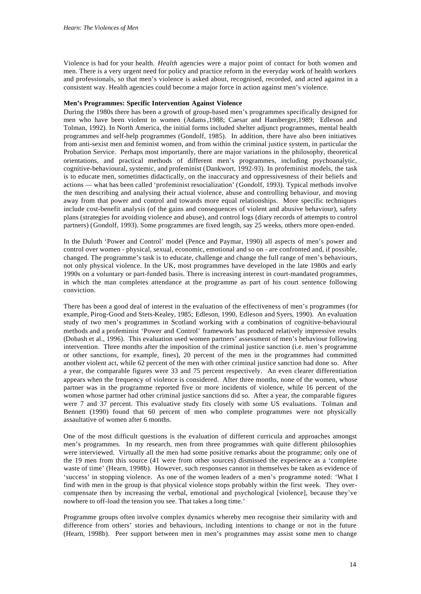Violence is bad for your health. *Health* agencies were a major point of contact for both women and men. There is a very urgent need for policy and practice reform in the everyday work of health workers and professionals, so that men's violence is asked about, recognised, recorded, and acted against in a consistent way. Health agencies could become a major force in action against men's violence.

# **Men's Programmes: Specific Intervention Against Violence**

During the 1980s there has been a growth of group-based men's programmes specifically designed for men who have been violent to women (Adams,1988; Caesar and Hamberger,1989; Edleson and Tolman, 1992). In North America, the initial forms included shelter adjunct programmes, mental health programmes and self-help programmes (Gondolf, 1985). In addition, there have also been initiatives from anti-sexist men and feminist women, and from within the criminal justice system, in particular the Probation Service. Perhaps most importantly, there are major variations in the philosophy, theoretical orientations, and practical methods of different men's programmes, including psychoanalytic, cognitive-behavioural, systemic, and profeminist (Dankwort, 1992-93). In profeminist models, the task is to educate men, sometimes didactically, on the inaccuracy and oppressivesness of their beliefs and actions — what has been called 'profeminist resocialization' (Gondolf, 1993). Typical methods involve the men describing and analysing their actual violence, abuse and controlling behaviour, and moving away from that power and control and towards more equal relationships. More specific techniques include cost-benefit analysis (of the gains and consequences of violent and abusive behaviour), safety plans (strategies for avoiding violence and abuse), and control logs (diary records of attempts to control partners) (Gondolf, 1993). Some programmes are fixed length, say 25 weeks, others more open-ended.

In the Duluth 'Power and Control' model (Pence and Paymar, 1990) all aspects of men's power and control over women - physical, sexual, economic, emotional and so on - are confronted and, if possible, changed. The programme's task is to educate, challenge and change the full range of men's behaviours, not only physical violence. In the UK, most programmes have developed in the late 1980s and early 1990s on a voluntary or part-funded basis. There is increasing interest in court-mandated programmes, in which the man completes attendance at the programme as part of his court sentence following conviction.

There has been a good deal of interest in the evaluation of the effectiveness of men's programmes (for example, Pirog-Good and Stets-Kealey, 1985; Edleson, 1990, Edleson and Syers, 1990). An evaluation study of two men's programmes in Scotland working with a combination of cognitive-behavioural methods and a profeminist 'Power and Control' framework has produced relatively impressive results (Dobash et al., 1996). This evaluation used women partners' assessment of men's behaviour following intervention. Three months after the imposition of the criminal justice sanction (i.e. men's programme or other sanctions, for example, fines), 20 percent of the men in the programmes had committed another violent act, while 62 percent of the men with other criminal justice sanction had done so. After a year, the comparable figures were 33 and 75 percent respectively. An even clearer differentiation appears when the frequency of violence is considered. After three months, none of the women, whose partner was in the programme reported five or more incidents of violence, while 16 percent of the women whose partner had other criminal justice sanctions did so. After a year, the comparable figures were 7 and 37 percent. This evaluative study fits closely with some US evaluations. Tolman and Bennett (1990) found that 60 percent of men who complete programmes were not physically assaultative of women after 6 months.

One of the most difficult questions is the evaluation of different curricula and approaches amongst men's programmes. In my research, men from three programmes with quite different philosophies were interviewed. Virtually all the men had some positive remarks about the programme; only one of the 19 men from this source (41 were from other sources) dismissed the experience as a 'complete waste of time' (Hearn, 1998b). However, such responses cannot in themselves be taken as evidence of 'success' in stopping violence. As one of the women leaders of a men's programme noted: 'What I find with men in the group is that physical violence stops probably within the first week. They overcompensate then by increasing the verbal, emotional and psychological [violence], because they've nowhere to off-load the tension you see. That takes a long time.'

Programme groups often involve complex dynamics whereby men recognise their similarity with and difference from others' stories and behaviours, including intentions to change or not in the future (Hearn, 1998b). Peer support between men in men's programmes may assist some men to change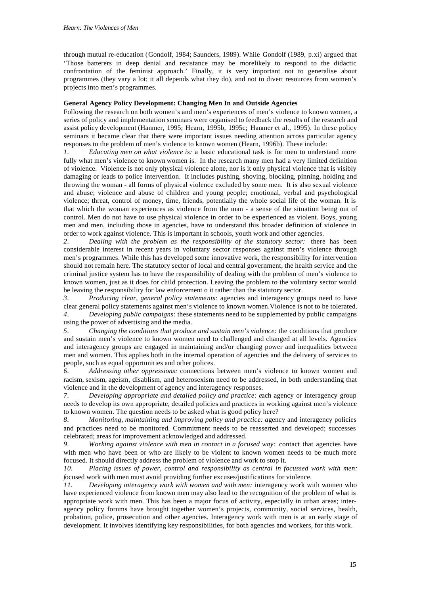through mutual re-education (Gondolf, 1984; Saunders, 1989). While Gondolf (1989, p.xi) argued that 'Those batterers in deep denial and resistance may be morelikely to respond to the didactic confrontation of the feminist approach.' Finally, it is very important not to generalise about programmes (they vary a lot; it all depends what they do), and not to divert resources from women's projects into men's programmes.

# **General Agency Policy Development: Changing Men In and Outside Agencies**

Following the research on both women's and men's experiences of men's violence to known women, a series of policy and implementation seminars were organised to feedback the results of the research and assist policy development (Hanmer, 1995; Hearn, 1995b, 1995c; Hanmer et al., 1995). In these policy seminars it became clear that there were important issues needing attention across particular agency responses to the problem of men's violence to known women (Hearn, 1996b). These include:

*1. Educating men on what violence is:* a basic educational task is for men to understand more fully what men's violence to known women is. In the research many men had a very limited definition of violence. Violence is not only physical violence alone, nor is it only physical violence that is visibly damaging or leads to police intervention. It includes pushing, shoving, blocking, pinning, holding and throwing the woman - all forms of physical violence excluded by some men. It is also sexual violence and abuse; violence and abuse of children and young people; emotional, verbal and psychological violence; threat, control of money, time, friends, potentially the whole social life of the woman. It is that which the woman experiences as violence from the man - a sense of the situation being out of control. Men do not have to use physical violence in order to be experienced as violent. Boys, young men and men, including those in agencies, have to understand this broader definition of violence in order to work against violence. This is important in schools, youth work and other agencies.

*2. Dealing with the problem as the responsibility of the statutory sector:* there has been considerable interest in recent years in voluntary sector responses against men's violence through men's programmes. While this has developed some innovative work, the responsibility for intervention should not remain here. The statutory sector of local and central government, the health service and the criminal justice system has to have the responsibility of dealing with the problem of men's violence to known women, just as it does for child protection. Leaving the problem to the voluntary sector would be leaving the responsibility for law enforcement o it rather than the statutory sector.

*3. Producing clear, general policy statements:* agencies and interagency groups need to have clear general policy statements against men's violence to known women.Violence is not to be tolerated. *4. Developing public campaigns:* these statements need to be supplemented by public campaigns using the power of advertising and the media.

*5. Changing the conditions that produce and sustain men's violence:* the conditions that produce and sustain men's violence to known women need to challenged and changed at all levels. Agencies and interagency groups are engaged in maintaining and/or changing power and inequalities between men and women. This applies both in the internal operation of agencies and the delivery of services to people, such as equal opportunities and other polices.

*6. Addressing other oppressions:* connections between men's violence to known women and racism, sexism, ageism, disablism, and heterosexism need to be addressed, in both understanding that violence and in the development of agency and interagency responses.

*7. Developing appropriate and detailed policy and practice: e*ach agency or interagency group needs to develop its own appropriate, detailed policies and practices in working against men's violence to known women. The question needs to be asked what is good policy here?

*8. Monitoring, maintaining and improving policy and practice: a*gency and interagency policies and practices need to be monitored. Commitment needs to be reasserted and developed; successes celebrated; areas for improvement acknowledged and addressed.

*9. Working against violence with men in contact in a focused way:* contact that agencies have with men who have been or who are likely to be violent to known women needs to be much more focused. It should directly address the problem of violence and work to stop it.

*10. Placing issues of power, control and responsibility as central in focussed work with men: focused work with men must avoid providing further excuses/justifications for violence.* 

*11. Developing interagency work with women and with men:* interagency work with women who have experienced violence from known men may also lead to the recognition of the problem of what is appropriate work with men. This has been a major focus of activity, especially in urban areas; interagency policy forums have brought together women's projects, community, social services, health, probation, police, prosecution and other agencies. Interagency work with men is at an early stage of development. It involves identifying key responsibilities, for both agencies and workers, for this work.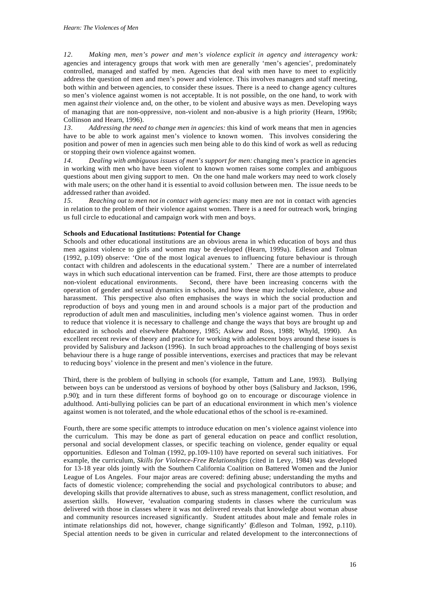*12. Making men, men's power and men's violence explicit in agency and interagency work:* agencies and interagency groups that work with men are generally 'men's agencies', predominately controlled, managed and staffed by men. Agencies that deal with men have to meet to explicitly address the question of men and men's power and violence. This involves managers and staff meeting, both within and between agencies, to consider these issues. There is a need to change agency cultures so men's violence against women is not acceptable. It is not possible, on the one hand, to work with men against *their* violence and, on the other, to be violent and abusive ways as men. Developing ways of managing that are non-oppressive, non-violent and non-abusive is a high priority (Hearn, 1996b; Collinson and Hearn, 1996).

*13. Addressing the need to change men in agencies:* this kind of work means that men in agencies have to be able to work against men's violence to known women. This involves considering the position and power of men in agencies such men being able to do this kind of work as well as reducing or stopping their own violence against women.

*14. Dealing with ambiguous issues of men's support for men:* changing men's practice in agencies in working with men who have been violent to known women raises some complex and ambiguous questions about men giving support to men. On the one hand male workers may need to work closely with male users; on the other hand it is essential to avoid collusion between men. The issue needs to be addressed rather than avoided.

*15. Reaching out to men not in contact with agencies:* many men are not in contact with agencies in relation to the problem of their violence against women. There is a need for outreach work, bringing us full circle to educational and campaign work with men and boys.

#### **Schools and Educational Institutions: Potential for Change**

Schools and other educational institutions are an obvious arena in which education of boys and thus men against violence to girls and women may be developed (Hearn, 1999a). Edleson and Tolman (1992, p.109) observe: 'One of the most logical avenues to influencing future behaviour is through contact with children and adolescents in the educational system.' There are a number of interrelated ways in which such educational intervention can be framed. First, there are those attempts to produce non-violent educational environments. Second, there have been increasing concerns with the operation of gender and sexual dynamics in schools, and how these may include violence, abuse and harassment. This perspective also often emphasises the ways in which the social production and reproduction of boys and young men in and around schools is a major part of the production and reproduction of adult men and masculinities, including men's violence against women. Thus in order to reduce that violence it is necessary to challenge and change the ways that boys are brought up and educated in schools and elsewhere (Mahoney, 1985; Askew and Ross, 1988; Whyld, 1990). An excellent recent review of theory and practice for working with adolescent boys around these issues is provided by Salisbury and Jackson (1996). In such broad approaches to the challenging of boys sexist behaviour there is a huge range of possible interventions, exercises and practices that may be relevant to reducing boys' violence in the present and men's violence in the future.

Third, there is the problem of bullying in schools (for example, Tattum and Lane, 1993). Bullying between boys can be understood as versions of boyhood by other boys (Salisbury and Jackson, 1996, p.90); and in turn these different forms of boyhood go on to encourage or discourage violence in adulthood. Anti-bullying policies can be part of an educational environment in which men's violence against women is not tolerated, and the whole educational ethos of the school is re-examined.

Fourth, there are some specific attempts to introduce education on men's violence against violence into the curriculum. This may be done as part of general education on peace and conflict resolution, personal and social development classes, or specific teaching on violence, gender equality or equal opportunities. Edleson and Tolman (1992, pp.109-110) have reported on several such initiatives. For example, the curriculum, *Skills for Violence-Free Relationships* (cited in Levy, 1984) was developed for 13-18 year olds jointly with the Southern California Coalition on Battered Women and the Junior League of Los Angeles. Four major areas are covered: defining abuse; understanding the myths and facts of domestic violence; comprehending the social and psychological contributors to abuse; and developing skills that provide alternatives to abuse, such as stress management, conflict resolution, and assertion skills. However, 'evaluation comparing students in classes where the curriculum was delivered with those in classes where it was not delivered reveals that knowledge about woman abuse and community resources increased significantly. Student attitudes about male and female roles in intimate relationships did not, however, change significantly' (Edleson and Tolman, 1992, p.110). Special attention needs to be given in curricular and related development to the interconnections of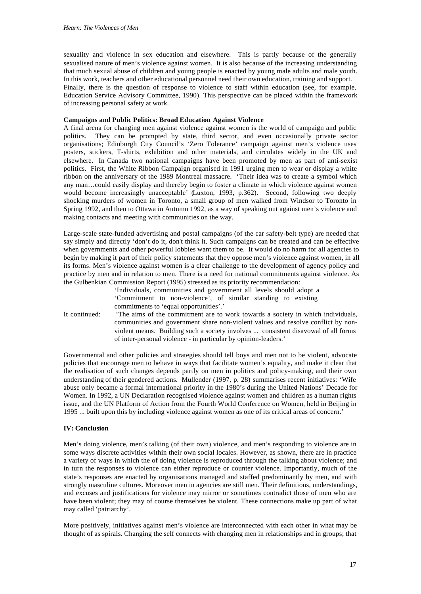sexuality and violence in sex education and elsewhere. This is partly because of the generally sexualised nature of men's violence against women. It is also because of the increasing understanding that much sexual abuse of children and young people is enacted by young male adults and male youth. In this work, teachers and other educational personnel need their own education, training and support. Finally, there is the question of response to violence to staff within education (see, for example, Education Service Advisory Committee, 1990). This perspective can be placed within the framework of increasing personal safety at work.

## **Campaigns and Public Politics: Broad Education Against Violence**

A final arena for changing men against violence against women is the world of campaign and public politics. They can be prompted by state, third sector, and even occasionally private sector organisations; Edinburgh City Council's 'Zero Tolerance' campaign against men's violence uses posters, stickers, T-shirts, exhibition and other materials, and circulates widely in the UK and elsewhere. In Canada two national campaigns have been promoted by men as part of anti-sexist politics. First, the White Ribbon Campaign organised in 1991 urging men to wear or display a white ribbon on the anniversary of the 1989 Montreal massacre. 'Their idea was to create a symbol which any man…could easily display and thereby begin to foster a climate in which violence against women would become increasingly unacceptable' (Luxton, 1993, p.362). Second, following two deeply shocking murders of women in Toronto, a small group of men walked from Windsor to Toronto in Spring 1992, and then to Ottawa in Autumn 1992, as a way of speaking out against men's violence and making contacts and meeting with communities on the way.

Large-scale state-funded advertising and postal campaigns (of the car safety-belt type) are needed that say simply and directly 'don't do it, don't think it. Such campaigns can be created and can be effective when governments and other powerful lobbies want them to be. It would do no harm for all agencies to begin by making it part of their policy statements that they oppose men's violence against women, in all its forms. Men's violence against women is a clear challenge to the development of agency policy and practice by men and in relation to men. There is a need for national commitments against violence. As the Gulbenkian Commission Report (1995) stressed as its priority recommendation:

'Individuals, communities and government all levels should adopt a 'Commitment to non-violence', of similar standing to existing commitments to 'equal opportunities'.'

It continued: 'The aims of the commitment are to work towards a society in which individuals, communities and government share non-violent values and resolve conflict by nonviolent means. Building such a society involves ... consistent disavowal of all forms of inter-personal violence - in particular by opinion-leaders.'

Governmental and other policies and strategies should tell boys and men not to be violent, advocate policies that encourage men to behave in ways that facilitate women's equality, and make it clear that the realisation of such changes depends partly on men in politics and policy-making, and their own understanding of their gendered actions. Mullender (1997, p. 28) summarises recent initiatives: 'Wife abuse only became a formal international priority in the 1980's during the United Nations' Decade for Women. In 1992, a UN Declaration recognised violence against women and children as a human rights issue, and the UN Platform of Action from the Fourth World Conference on Women, held in Beijing in 1995 ... built upon this by including violence against women as one of its critical areas of concern.'

# **IV: Conclusion**

Men's doing violence, men's talking (of their own) violence, and men's responding to violence are in some ways discrete activities within their own social locales. However, as shown, there are in practice a variety of ways in which the of doing violence is reproduced through the talking about violence; and in turn the responses to violence can either reproduce or counter violence. Importantly, much of the state's responses are enacted by organisations managed and staffed predominantly by men, and with strongly masculine cultures. Moreover men in agencies are still men. Their definitions, understandings, and excuses and justifications for violence may mirror or sometimes contradict those of men who are have been violent; they may of course themselves be violent. These connections make up part of what may called 'patriarchy'.

More positively, initiatives against men's violence are interconnected with each other in what may be thought of as spirals. Changing the self connects with changing men in relationships and in groups; that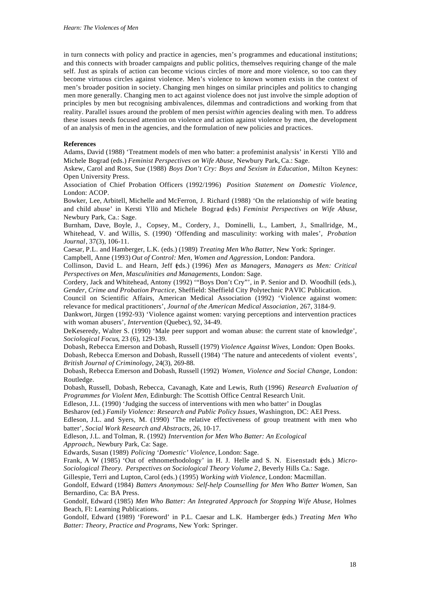in turn connects with policy and practice in agencies, men's programmes and educational institutions; and this connects with broader campaigns and public politics, themselves requiring change of the male self. Just as spirals of action can become vicious circles of more and more violence, so too can they become virtuous circles against violence. Men's violence to known women exists in the context of men's broader position in society. Changing men hinges on similar principles and politics to changing men more generally. Changing men to act against violence does not just involve the simple adoption of principles by men but recognising ambivalences, dilemmas and contradictions and working from that reality. Parallel issues around the problem of men persist *within* agencies dealing with men. To address these issues needs focused attention on violence and action against violence by men, the development of an analysis of men in the agencies, and the formulation of new policies and practices.

#### **References**

Adams, David (1988) 'Treatment models of men who batter: a profeminist analysis' in Kersti Yllö and Michele Bograd (eds.) *Feminist Perspectives on Wife Abuse*, Newbury Park, Ca.: Sage.

Askew, Carol and Ross, Sue (1988) *Boys Don't Cry: Boys and Sexism in Education*, Milton Keynes: Open University Press.

Association of Chief Probation Officers (1992/1996) *Position Statement on Domestic Violence*, London: ACOP.

Bowker, Lee, Arbitell, Michelle and McFerron, J. Richard (1988) 'On the relationship of wife beating and child abuse' in Kersti Yllö and Michele Bograd (eds) *Feminist Perspectives on Wife Abuse*, Newbury Park, Ca.: Sage.

Burnham, Dave, Boyle, J., Copsey, M., Cordery, J., Dominelli, L., Lambert, J., Smallridge, M., Whitehead, V. and Willis, S. (1990) 'Offending and masculinity: working with males', *Probation Journal*, 37(3), 106-11.

Caesar, P.L. and Hamberger, L.K. (eds.) (1989) *Treating Men Who Batter*, New York: Springer.

Campbell, Anne (1993) *Out of Control: Men, Women and Aggression*, London: Pandora.

Collinson, David L. and Hearn, Jeff (eds.) (1996) *Men as Managers, Managers as Men: Critical Perspectives on Men, Masculinities and Managements*, London: Sage.

Cordery, Jack and Whitehead, Antony (1992) '"Boys Don't Cry"', in P. Senior and D. Woodhill (eds.), *Gender, Crime and Probation Practice*, Sheffield: Sheffield City Polytechnic PAVIC Publication.

Council on Scientific Affairs, American Medical Association (1992) 'Violence against women: relevance for medical practitioners', *Journal of the American Medical Association*, 267, 3184-9.

Dankwort, Jürgen (1992-93) 'Violence against women: varying perceptions and intervention practices with woman abusers', *Intervention* (Quebec), 92, 34-49.

DeKeseredy, Walter S. (1990) 'Male peer support and woman abuse: the current state of knowledge', *Sociological Focus*, 23 (6), 129-139.

Dobash, Rebecca Emerson and Dobash, Russell (1979) *Violence Against Wives*, London: Open Books. Dobash, Rebecca Emerson and Dobash, Russell (1984) 'The nature and antecedents of violent events', *British Journal of Criminology*, 24(3), 269-88.

Dobash, Rebecca Emerson and Dobash, Russell (1992) *Women, Violence and Social Change*, London: Routledge.

Dobash, Russell, Dobash, Rebecca, Cavanagh, Kate and Lewis, Ruth (1996) *Research Evaluation of Programmes for Violent Men*, Edinburgh: The Scottish Office Central Research Unit.

Edleson, J.L. (1990) 'Judging the success of interventions with men who batter' in Douglas

Besharov (ed.) *Family Violence: Research and Public Policy Issues*, Washington, DC: AEI Press.

Edleson, J.L. and Syers, M. (1990) 'The relative effectiveness of group treatment with men who batter', *Social Work Research and Abstracts*, 26, 10-17.

Edleson, J.L. and Tolman, R. (1992) *Intervention for Men Who Batter: An Ecological Approach*,. Newbury Park, Ca: Sage.

Edwards, Susan (1989) *Policing 'Domestic' Violence*, London: Sage.

Frank, A W (1985) 'Out of ethnomethodology' in H. J. Helle and S. N. Eisenstadt (eds.) *Micro-Sociological Theory. Perspectives on Sociological Theory Volume 2*, Beverly Hills Ca.: Sage.

Gillespie, Terri and Lupton, Carol (eds.) (1995) *Working with Violence*, London: Macmillan.

Gondolf, Edward (1984) *Batters Anonymous: Self-help Counselling for Men Who Batter Women*, San Bernardino, Ca: BA Press.

Gondolf, Edward (1985) *Men Who Batter: An Integrated Approach for Stopping Wife Abuse*, Holmes Beach, Fl: Learning Publications.

Gondolf, Edward (1989) 'Foreword' in P.L. Caesar and L.K. Hamberger (eds.) *Treating Men Who Batter: Theory, Practice and Programs*, New York: Springer.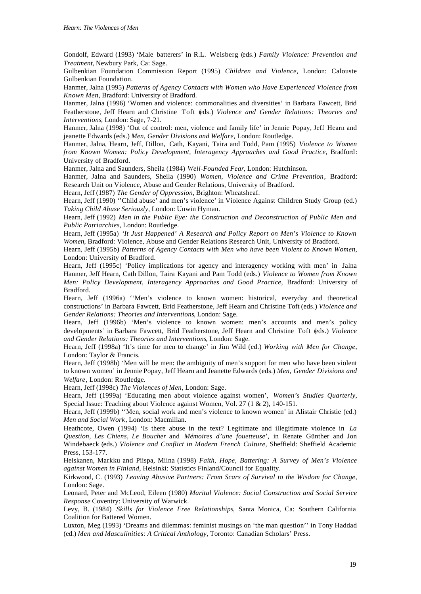Gondolf, Edward (1993) 'Male batterers' in R.L. Weisberg (eds.) *Family Violence: Prevention and Treatment*, Newbury Park, Ca: Sage.

Gulbenkian Foundation Commission Report (1995) *Children and Violence*, London: Calouste Gulbenkian Foundation.

Hanmer, Jalna (1995) *Patterns of Agency Contacts with Women who Have Experienced Violence from Known Men*, Bradford: University of Bradford.

Hanmer, Jalna (1996) 'Women and violence: commonalities and diversities' in Barbara Fawcett, Brid Featherstone, Jeff Hearn and Christine Toft (eds.) *Violence and Gender Relations: Theories and Interventions*, London: Sage, 7-21.

Hanmer, Jalna (1998) 'Out of control: men, violence and family life' in Jennie Popay, Jeff Hearn and jeanette Edwards (eds.) *Men, Gender Divisions and Welfare*, London: Routledge.

Hanmer, Jalna, Hearn, Jeff, Dillon, Cath, Kayani, Taira and Todd, Pam (1995) *Violence to Women from Known Women: Policy Development, Interagency Approaches and Good Practice*, Bradford: University of Bradford.

Hanmer, Jalna and Saunders, Sheila (1984) *Well-Founded Fear*, London: Hutchinson.

Hanmer, Jalna and Saunders, Sheila (1990) *Women, Violence and Crime Prevention*, Bradford: Research Unit on Violence, Abuse and Gender Relations, University of Bradford.

Hearn, Jeff (1987) *The Gender of Oppression*, Brighton: Wheatsheaf.

Hearn, Jeff (1990) "Child abuse' and men's violence' in Violence Against Children Study Group (ed.) *Taking Child Abuse Seriously*, London: Unwin Hyman.

Hearn, Jeff (1992) *Men in the Public Eye: the Construction and Deconstruction of Public Men and Public Patriarchies*, London: Routledge.

Hearn, Jeff (1995a) *'It Just Happened' A Research and Policy Report on Men's Violence to Known Women*, Bradford: Violence, Abuse and Gender Relations Research Unit, University of Bradford.

Hearn, Jeff (1995b) *Patterns of Agency Contacts with Men who have been Violent to Known Women*, London: University of Bradford.

Hearn, Jeff (1995c) 'Policy implications for agency and interagency working with men' in Jalna Hanmer, Jeff Hearn, Cath Dillon, Taira Kayani and Pam Todd (eds.) *Violence to Women from Known Men: Policy Development, Interagency Approaches and Good Practice*, Bradford: University of Bradford.

Hearn, Jeff (1996a) ''Men's violence to known women: historical, everyday and theoretical constructions' in Barbara Fawcett, Brid Featherstone, Jeff Hearn and Christine Toft (eds.) *Violence and Gender Relations: Theories and Interventions*, London: Sage.

Hearn, Jeff (1996b) 'Men's violence to known women: men's accounts and men's policy developments' in Barbara Fawcett, Brid Featherstone, Jeff Hearn and Christine Toft (eds.) *Violence and Gender Relations: Theories and Interventions*, London: Sage.

Hearn, Jeff (1998a) 'It's time for men to change' in Jim Wild (ed.) *Working with Men for Change*, London: Taylor & Francis.

Hearn, Jeff (1998b) 'Men will be men: the ambiguity of men's support for men who have been violent to known women' in Jennie Popay, Jeff Hearn and Jeanette Edwards (eds.) *Men, Gender Divisions and Welfare*, London: Routledge.

Hearn, Jeff (1998c) *The Violences of Men*, London: Sage.

Hearn, Jeff (1999a) 'Educating men about violence against women', *Women's Studies Quarterly*, Special Issue: Teaching about Violence against Women, Vol. 27 (1 & 2), 140-151.

Hearn, Jeff (1999b) ''Men, social work and men's violence to known women' in Alistair Christie (ed.) *Men and Social Work*, London: Macmillan.

Heathcote, Owen (1994) 'Is there abuse in the text? Legitimate and illegitimate violence in *La Question, Les Chiens, Le Boucher* and *Mémoires d'une fouetteuse*', in Renate Günther and Jon Windebaeck (eds.) *Violence and Conflict in Modern French Culture*, Sheffield: Sheffield Academic Press, 153-177.

Heiskanen, Markku and Piispa, Miina (1998) *Faith, Hope, Battering: A Survey of Men's Violence against Women in Finland*, Helsinki: Statistics Finland/Council for Equality.

Kirkwood, C. (1993) *Leaving Abusive Partners: From Scars of Survival to the Wisdom for Change*, London: Sage.

Leonard, Peter and McLeod, Eileen (1980) *Marital Violence: Social Construction and Social Service Response* Coventry: University of Warwick.

Levy, B. (1984) *Skills for Violence Free Relationships*, Santa Monica, Ca: Southern California Coalition for Battered Women.

Luxton, Meg (1993) 'Dreams and dilemmas: feminist musings on 'the man question'' in Tony Haddad (ed.) *Men and Masculinities: A Critical Anthology*, Toronto: Canadian Scholars' Press.